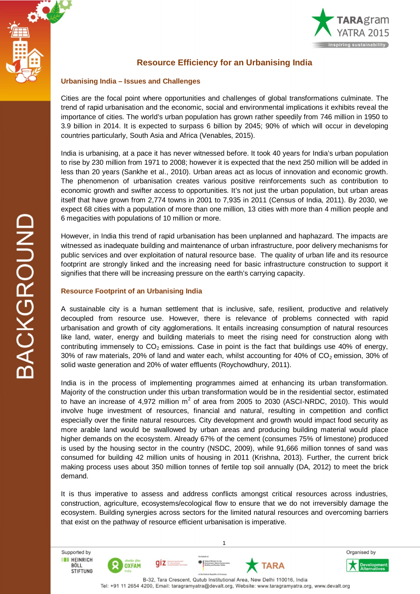



# **Resource Efficiency for an Urbanising India**

### **Urbanising India – Issues and Challenges**

Cities are the focal point where opportunities and challenges of global transformations culminate. The trend of rapid urbanisation and the economic, social and environmental implications it exhibits reveal the importance of cities. The world's urban population has grown rather speedily from 746 million in 1950 to 3.9 billion in 2014. It is expected to surpass 6 billion by 2045; 90% of which will occur in developing countries particularly, South Asia and Africa (Venables, 2015).

India is urbanising, at a pace it has never witnessed before. It took 40 years for India's urban population to rise by 230 million from 1971 to 2008; however it is expected that the next 250 million will be added in less than 20 years (Sankhe et al., 2010). Urban areas act as locus of innovation and economic growth. The phenomenon of urbanisation creates various positive reinforcements such as contribution to economic growth and swifter access to opportunities. It's not just the urban population, but urban areas itself that have grown from 2,774 towns in 2001 to 7,935 in 2011 (Census of India, 2011). By 2030, we expect 68 cities with a population of more than one million, 13 cities with more than 4 million people and 6 megacities with populations of 10 million or more.

However, in India this trend of rapid urbanisation has been unplanned and haphazard. The impacts are witnessed as inadequate building and maintenance of urban infrastructure, poor delivery mechanisms for public services and over exploitation of natural resource base. The quality of urban life and its resource footprint are strongly linked and the increasing need for basic infrastructure construction to support it signifies that there will be increasing pressure on the earth's carrying capacity.

## **Resource Footprint of an Urbanising India**

A sustainable city is a human settlement that is inclusive, safe, resilient, productive and relatively decoupled from resource use. However, there is relevance of problems connected with rapid urbanisation and growth of city agglomerations. It entails increasing consumption of natural resources like land, water, energy and building materials to meet the rising need for construction along with contributing immensely to  $CO<sub>2</sub>$  emissions. Case in point is the fact that buildings use 40% of energy, 30% of raw materials, 20% of land and water each, whilst accounting for 40% of  $CO<sub>2</sub>$  emission, 30% of solid waste generation and 20% of water effluents (Roychowdhury, 2011).

India is in the process of implementing programmes aimed at enhancing its urban transformation. Majority of the construction under this urban transformation would be in the residential sector, estimated to have an increase of 4,972 million m<sup>2</sup> of area from 2005 to 2030 (ASCI-NRDC, 2010). This would involve huge investment of resources, financial and natural, resulting in competition and conflict especially over the finite natural resources. City development and growth would impact food security as more arable land would be swallowed by urban areas and producing building material would place higher demands on the ecosystem. Already 67% of the cement (consumes 75% of limestone) produced is used by the housing sector in the country (NSDC, 2009), while 91,666 million tonnes of sand was consumed for building 42 million units of housing in 2011 (Krishna, 2013). Further, the current brick making process uses about 350 million tonnes of fertile top soil annually (DA, 2012) to meet the brick demand.

It is thus imperative to assess and address conflicts amongst critical resources across industries, construction, agriculture, ecosystems/ecological flow to ensure that we do not irreversibly damage the ecosystem. Building synergies across sectors for the limited natural resources and overcoming barriers that exist on the pathway of resource efficient urbanisation is imperative.

TARA

1 Supported by **THEINRICH** qiz BÖLL **OXFAM STIFTUNG** B-32, Tara Crescent, Qutub Institutional Area, New Delhi 110016, India Tel: +91 11 2654 4200, Email: taragramyatra@devalt.org, Website: www.taragramyatra.org, www.devalt.org

Organised by